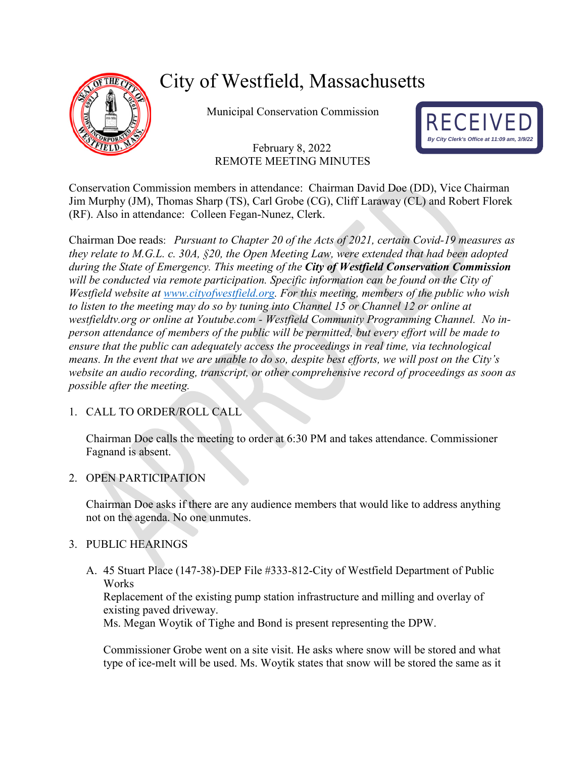

# City of Westfield, Massachusetts

Municipal Conservation Commission

# February 8, 2022 REMOTE MEETING MINUTES



Conservation Commission members in attendance: Chairman David Doe (DD), Vice Chairman Jim Murphy (JM), Thomas Sharp (TS), Carl Grobe (CG), Cliff Laraway (CL) and Robert Florek (RF). Also in attendance: Colleen Fegan-Nunez, Clerk.

Chairman Doe reads: *Pursuant to Chapter 20 of the Acts of 2021, certain Covid-19 measures as they relate to M.G.L. c. 30A, §20, the Open Meeting Law, were extended that had been adopted during the State of Emergency. This meeting of the City of Westfield Conservation Commission will be conducted via remote participation. Specific information can be found on the City of Westfield website at [www.cityofwestfield.org.](http://www.cityofwestfield.org/) For this meeting, members of the public who wish to listen to the meeting may do so by tuning into Channel 15 or Channel 12 or online at westfieldtv.org or online at Youtube.com - Westfield Community Programming Channel. No inperson attendance of members of the public will be permitted, but every effort will be made to ensure that the public can adequately access the proceedings in real time, via technological means. In the event that we are unable to do so, despite best efforts, we will post on the City's website an audio recording, transcript, or other comprehensive record of proceedings as soon as possible after the meeting.* 

# 1. CALL TO ORDER/ROLL CALL

Chairman Doe calls the meeting to order at 6:30 PM and takes attendance. Commissioner Fagnand is absent.

## 2. OPEN PARTICIPATION

Chairman Doe asks if there are any audience members that would like to address anything not on the agenda. No one unmutes.

## 3. PUBLIC HEARINGS

A. 45 Stuart Place (147-38)-DEP File #333-812-City of Westfield Department of Public **Works** 

Replacement of the existing pump station infrastructure and milling and overlay of existing paved driveway.

Ms. Megan Woytik of Tighe and Bond is present representing the DPW.

Commissioner Grobe went on a site visit. He asks where snow will be stored and what type of ice-melt will be used. Ms. Woytik states that snow will be stored the same as it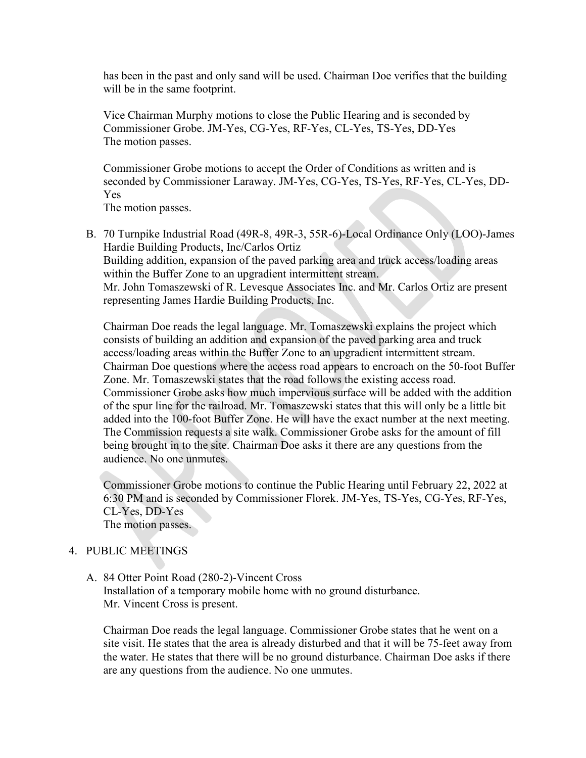has been in the past and only sand will be used. Chairman Doe verifies that the building will be in the same footprint.

Vice Chairman Murphy motions to close the Public Hearing and is seconded by Commissioner Grobe. JM-Yes, CG-Yes, RF-Yes, CL-Yes, TS-Yes, DD-Yes The motion passes.

Commissioner Grobe motions to accept the Order of Conditions as written and is seconded by Commissioner Laraway. JM-Yes, CG-Yes, TS-Yes, RF-Yes, CL-Yes, DD-Yes

The motion passes.

B. 70 Turnpike Industrial Road (49R-8, 49R-3, 55R-6)-Local Ordinance Only (LOO)-James Hardie Building Products, Inc/Carlos Ortiz Building addition, expansion of the paved parking area and truck access/loading areas within the Buffer Zone to an upgradient intermittent stream. Mr. John Tomaszewski of R. Levesque Associates Inc. and Mr. Carlos Ortiz are present representing James Hardie Building Products, Inc.

Chairman Doe reads the legal language. Mr. Tomaszewski explains the project which consists of building an addition and expansion of the paved parking area and truck access/loading areas within the Buffer Zone to an upgradient intermittent stream. Chairman Doe questions where the access road appears to encroach on the 50-foot Buffer Zone. Mr. Tomaszewski states that the road follows the existing access road. Commissioner Grobe asks how much impervious surface will be added with the addition of the spur line for the railroad. Mr. Tomaszewski states that this will only be a little bit added into the 100-foot Buffer Zone. He will have the exact number at the next meeting. The Commission requests a site walk. Commissioner Grobe asks for the amount of fill being brought in to the site. Chairman Doe asks it there are any questions from the audience. No one unmutes.

Commissioner Grobe motions to continue the Public Hearing until February 22, 2022 at 6:30 PM and is seconded by Commissioner Florek. JM-Yes, TS-Yes, CG-Yes, RF-Yes, CL-Yes, DD-Yes The motion passes.

## 4. PUBLIC MEETINGS

# A. 84 Otter Point Road (280-2)-Vincent Cross

Installation of a temporary mobile home with no ground disturbance. Mr. Vincent Cross is present.

Chairman Doe reads the legal language. Commissioner Grobe states that he went on a site visit. He states that the area is already disturbed and that it will be 75-feet away from the water. He states that there will be no ground disturbance. Chairman Doe asks if there are any questions from the audience. No one unmutes.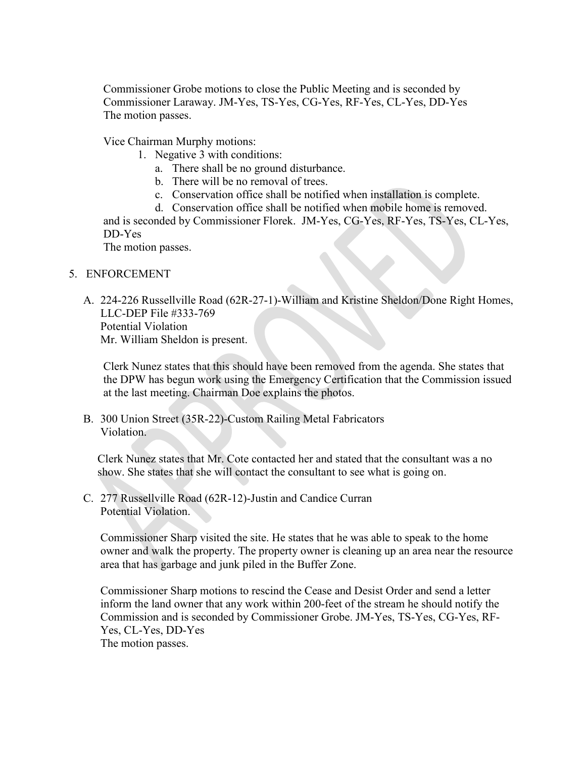Commissioner Grobe motions to close the Public Meeting and is seconded by Commissioner Laraway. JM-Yes, TS-Yes, CG-Yes, RF-Yes, CL-Yes, DD-Yes The motion passes.

Vice Chairman Murphy motions:

- 1. Negative 3 with conditions:
	- a. There shall be no ground disturbance.
	- b. There will be no removal of trees.
	- c. Conservation office shall be notified when installation is complete.
	- d. Conservation office shall be notified when mobile home is removed.

and is seconded by Commissioner Florek. JM-Yes, CG-Yes, RF-Yes, TS-Yes, CL-Yes, DD-Yes

The motion passes.

### 5. ENFORCEMENT

A. 224-226 Russellville Road (62R-27-1)-William and Kristine Sheldon/Done Right Homes, LLC-DEP File #333-769 Potential Violation Mr. William Sheldon is present.

Clerk Nunez states that this should have been removed from the agenda. She states that the DPW has begun work using the Emergency Certification that the Commission issued at the last meeting. Chairman Doe explains the photos.

B. 300 Union Street (35R-22)-Custom Railing Metal Fabricators Violation.

Clerk Nunez states that Mr. Cote contacted her and stated that the consultant was a no show. She states that she will contact the consultant to see what is going on.

C. 277 Russellville Road (62R-12)-Justin and Candice Curran Potential Violation.

Commissioner Sharp visited the site. He states that he was able to speak to the home owner and walk the property. The property owner is cleaning up an area near the resource area that has garbage and junk piled in the Buffer Zone.

Commissioner Sharp motions to rescind the Cease and Desist Order and send a letter inform the land owner that any work within 200-feet of the stream he should notify the Commission and is seconded by Commissioner Grobe. JM-Yes, TS-Yes, CG-Yes, RF-Yes, CL-Yes, DD-Yes The motion passes.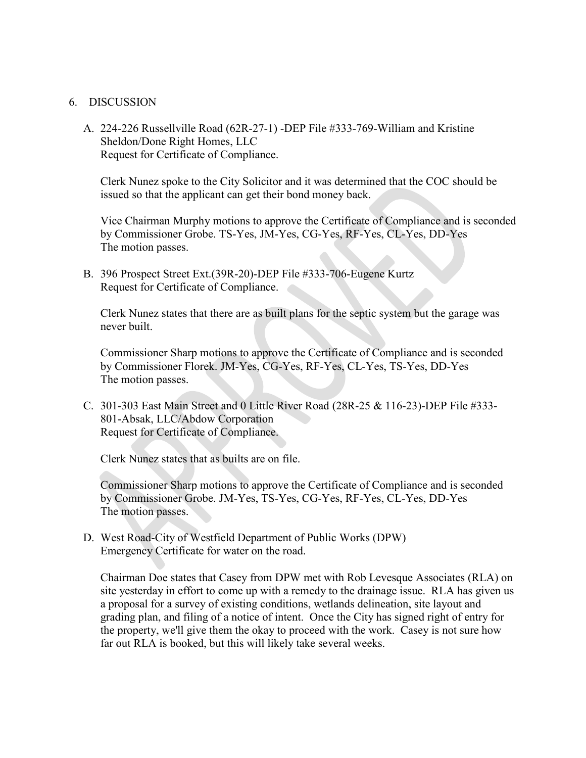#### 6. DISCUSSION

A. 224-226 Russellville Road (62R-27-1) -DEP File #333-769-William and Kristine Sheldon/Done Right Homes, LLC Request for Certificate of Compliance.

Clerk Nunez spoke to the City Solicitor and it was determined that the COC should be issued so that the applicant can get their bond money back.

Vice Chairman Murphy motions to approve the Certificate of Compliance and is seconded by Commissioner Grobe. TS-Yes, JM-Yes, CG-Yes, RF-Yes, CL-Yes, DD-Yes The motion passes.

B. 396 Prospect Street Ext.(39R-20)-DEP File #333-706-Eugene Kurtz Request for Certificate of Compliance.

Clerk Nunez states that there are as built plans for the septic system but the garage was never built.

Commissioner Sharp motions to approve the Certificate of Compliance and is seconded by Commissioner Florek. JM-Yes, CG-Yes, RF-Yes, CL-Yes, TS-Yes, DD-Yes The motion passes.

C. 301-303 East Main Street and 0 Little River Road (28R-25 & 116-23)-DEP File #333- 801-Absak, LLC/Abdow Corporation Request for Certificate of Compliance.

Clerk Nunez states that as builts are on file.

Commissioner Sharp motions to approve the Certificate of Compliance and is seconded by Commissioner Grobe. JM-Yes, TS-Yes, CG-Yes, RF-Yes, CL-Yes, DD-Yes The motion passes.

D. West Road-City of Westfield Department of Public Works (DPW) Emergency Certificate for water on the road.

Chairman Doe states that Casey from DPW met with Rob Levesque Associates (RLA) on site yesterday in effort to come up with a remedy to the drainage issue. RLA has given us a proposal for a survey of existing conditions, wetlands delineation, site layout and grading plan, and filing of a notice of intent. Once the City has signed right of entry for the property, we'll give them the okay to proceed with the work. Casey is not sure how far out RLA is booked, but this will likely take several weeks.